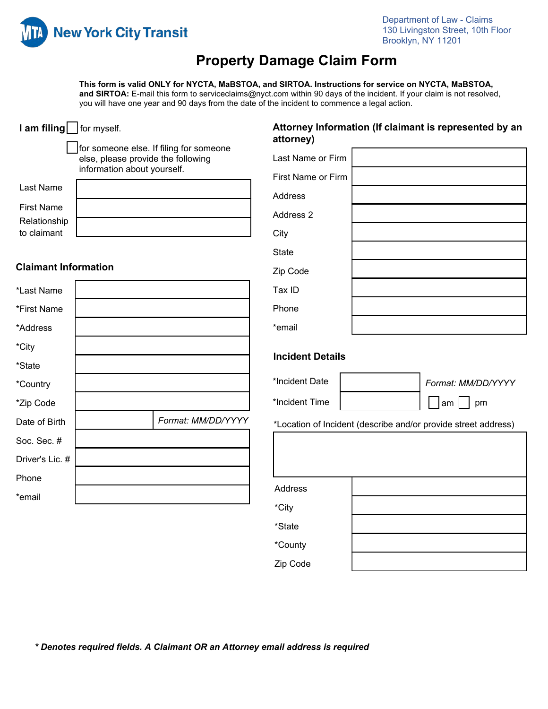

# **Property Damage Claim Form**

**This form is valid ONLY for NYCTA, MaBSTOA, and SIRTOA. Instructions for service on NYCTA, MaBSTOA, and SIRTOA:** E-mail this form to serviceclaims@nyct.com within 90 days of the incident. If your claim is not resolved, you will have one year and 90 days from the date of the incident to commence a legal action.

| I am filing for myself.     |                                                                   |                                         | attorney)                     | Attorney Information (If claimant is represented by an         |
|-----------------------------|-------------------------------------------------------------------|-----------------------------------------|-------------------------------|----------------------------------------------------------------|
|                             | else, please provide the following<br>information about yourself. | for someone else. If filing for someone | Last Name or Firm             |                                                                |
| Last Name                   |                                                                   |                                         | First Name or Firm<br>Address |                                                                |
| <b>First Name</b>           |                                                                   |                                         | Address 2                     |                                                                |
| Relationship<br>to claimant |                                                                   |                                         | City                          |                                                                |
|                             |                                                                   |                                         | <b>State</b>                  |                                                                |
| <b>Claimant Information</b> |                                                                   |                                         | Zip Code                      |                                                                |
| *Last Name                  |                                                                   |                                         | Tax ID                        |                                                                |
| *First Name                 |                                                                   |                                         | Phone                         |                                                                |
| *Address                    |                                                                   |                                         | *email                        |                                                                |
| *City                       |                                                                   |                                         |                               |                                                                |
| *State                      |                                                                   |                                         | <b>Incident Details</b>       |                                                                |
| *Country                    |                                                                   |                                         | *Incident Date                | Format: MM/DD/YYYY                                             |
| *Zip Code                   |                                                                   |                                         | *Incident Time                | ∣am  <br>pm                                                    |
| Date of Birth               |                                                                   | Format: MM/DD/YYYY                      |                               | *Location of Incident (describe and/or provide street address) |
| Soc. Sec. #                 |                                                                   |                                         |                               |                                                                |
| Driver's Lic. #             |                                                                   |                                         |                               |                                                                |
| Phone                       |                                                                   |                                         |                               |                                                                |
| *email                      |                                                                   |                                         | Address                       |                                                                |
|                             |                                                                   |                                         | *City                         |                                                                |
|                             |                                                                   |                                         | *State                        |                                                                |
|                             |                                                                   |                                         | *County                       |                                                                |
|                             |                                                                   |                                         | Zip Code                      |                                                                |
|                             |                                                                   |                                         |                               |                                                                |

*\* Denotes required fields. A Claimant OR an Attorney email address is required*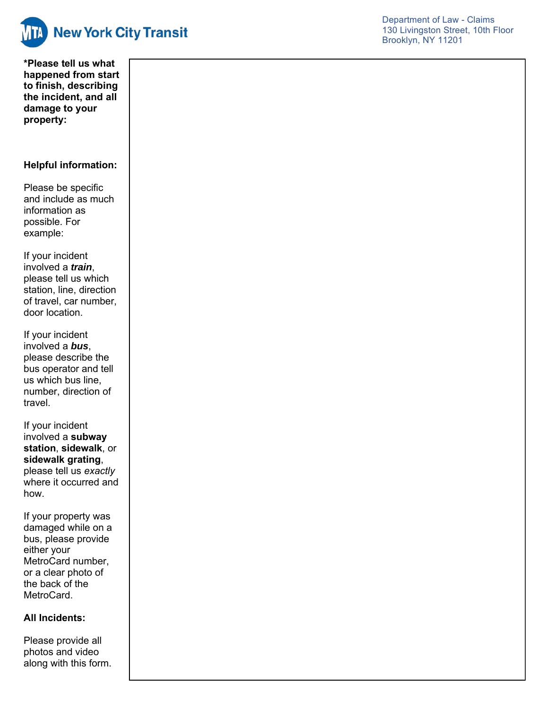

**\*Please tell us what happened from start to finish, describing the incident, and all damage to your property :**

### **Helpful information:**

Please be specific and include as much information as possible. For example:

If your incident involved a *train*, please tell us which station, line, direction of travel, car number, door location.

If your incident involved a *bus*, please describe the bus operator and tell us which bus line, number, direction of travel .

If your incident involved a **subway station** , **sidewalk** , or **sidewalk grating**, please tell us *exactly* where it occurred and how.

If your property was damaged while on a bus, please provide either your MetroCard number, or a clear photo of the back of the MetroCard.

### **All Incidents:**

Please provide all photos and video along with this form.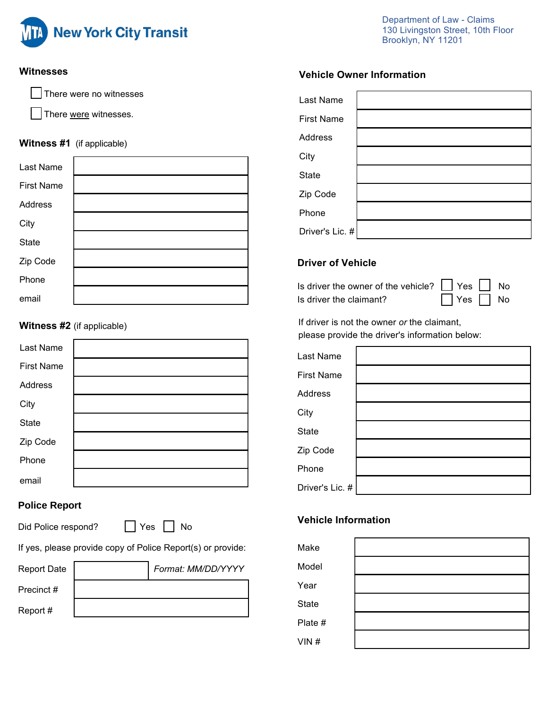

Department of Law - Claims 130 Livingston Street, 10th Floor Brooklyn, NY 11201

#### **Witnesses**

There were no witnesses

There were witnesses.

### **Witness #1** (if applicable)

| Last Name         |  |
|-------------------|--|
| <b>First Name</b> |  |
| Address           |  |
| City              |  |
| <b>State</b>      |  |
| Zip Code          |  |
| Phone             |  |
| email             |  |

### **Witness #2** (if applicable)

| <b>Last Name</b>  |  |
|-------------------|--|
| <b>First Name</b> |  |
| Address           |  |
| City              |  |
| <b>State</b>      |  |
| Zip Code          |  |
| Phone             |  |
| email             |  |

# **Police Report**

Did Police respond? No

If yes, please provide copy of Police Report(s) or provide:

| <b>Report Date</b> | Format: MM/DD/YYYY |
|--------------------|--------------------|
| Precinct #         |                    |
| Report #           |                    |

# **Vehicle Owner Information**

| Last Name         |  |
|-------------------|--|
| <b>First Name</b> |  |
| Address           |  |
| City              |  |
| <b>State</b>      |  |
| Zip Code          |  |
| Phone             |  |
| Driver's Lic. #   |  |

### **Driver of Vehicle**

Is driver the owner of the vehicle?  $\Box$  Yes  $\Box$  No Is driver the claimant?  $\Box$  Yes  $\Box$  No

If driver is not the owner *or* the claimant, please provide the driver's information below:

| Last Name         |  |
|-------------------|--|
| <b>First Name</b> |  |
| <b>Address</b>    |  |
| City              |  |
| <b>State</b>      |  |
| Zip Code          |  |
| Phone             |  |
| Driver's Lic. #   |  |

# **Vehicle Information**

| Make         |  |
|--------------|--|
| Model        |  |
| Year         |  |
| <b>State</b> |  |
| Plate #      |  |
| VIN#         |  |